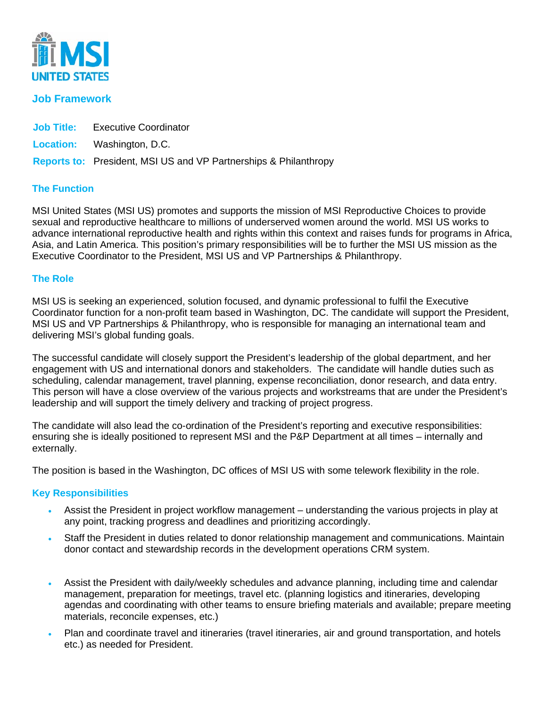

# **Job Framework**

| <b>Job Title:</b> Executive Coordinator |
|-----------------------------------------|
| <b>Location:</b> Washington, D.C.       |

**Reports to:** President, MSI US and VP Partnerships & Philanthropy

# **The Function**

MSI United States (MSI US) promotes and supports the mission of MSI Reproductive Choices to provide sexual and reproductive healthcare to millions of underserved women around the world. MSI US works to advance international reproductive health and rights within this context and raises funds for programs in Africa, Asia, and Latin America. This position's primary responsibilities will be to further the MSI US mission as the Executive Coordinator to the President, MSI US and VP Partnerships & Philanthropy.

# **The Role**

MSI US is seeking an experienced, solution focused, and dynamic professional to fulfil the Executive Coordinator function for a non-profit team based in Washington, DC. The candidate will support the President, MSI US and VP Partnerships & Philanthropy, who is responsible for managing an international team and delivering MSI's global funding goals.

The successful candidate will closely support the President's leadership of the global department, and her engagement with US and international donors and stakeholders. The candidate will handle duties such as scheduling, calendar management, travel planning, expense reconciliation, donor research, and data entry. This person will have a close overview of the various projects and workstreams that are under the President's leadership and will support the timely delivery and tracking of project progress.

The candidate will also lead the co-ordination of the President's reporting and executive responsibilities: ensuring she is ideally positioned to represent MSI and the P&P Department at all times – internally and externally.

The position is based in the Washington, DC offices of MSI US with some telework flexibility in the role.

# **Key Responsibilities**

- Assist the President in project workflow management understanding the various projects in play at any point, tracking progress and deadlines and prioritizing accordingly.
- Staff the President in duties related to donor relationship management and communications. Maintain donor contact and stewardship records in the development operations CRM system.
- Assist the President with daily/weekly schedules and advance planning, including time and calendar management, preparation for meetings, travel etc. (planning logistics and itineraries, developing agendas and coordinating with other teams to ensure briefing materials and available; prepare meeting materials, reconcile expenses, etc.)
- Plan and coordinate travel and itineraries (travel itineraries, air and ground transportation, and hotels etc.) as needed for President.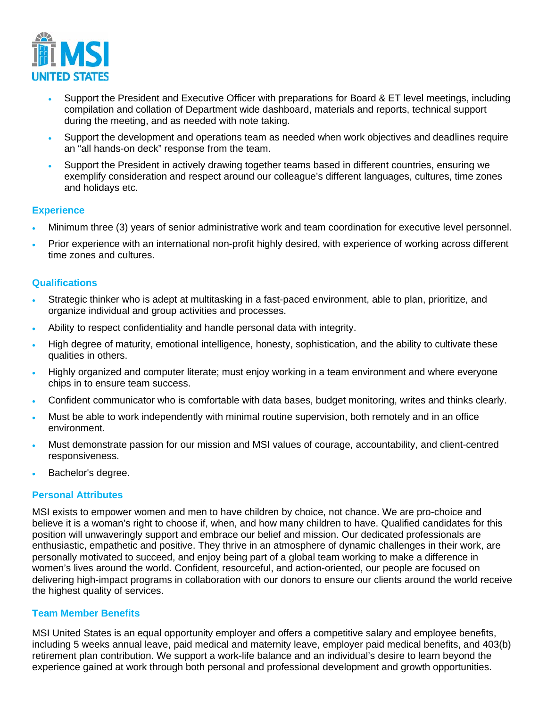

- Support the President and Executive Officer with preparations for Board & ET level meetings, including compilation and collation of Department wide dashboard, materials and reports, technical support during the meeting, and as needed with note taking.
- Support the development and operations team as needed when work objectives and deadlines require an "all hands-on deck" response from the team.
- Support the President in actively drawing together teams based in different countries, ensuring we exemplify consideration and respect around our colleague's different languages, cultures, time zones and holidays etc.

### **Experience**

- Minimum three (3) years of senior administrative work and team coordination for executive level personnel.
- Prior experience with an international non-profit highly desired, with experience of working across different time zones and cultures.

### **Qualifications**

- Strategic thinker who is adept at multitasking in a fast-paced environment, able to plan, prioritize, and organize individual and group activities and processes.
- Ability to respect confidentiality and handle personal data with integrity.
- High degree of maturity, emotional intelligence, honesty, sophistication, and the ability to cultivate these qualities in others.
- Highly organized and computer literate; must enjoy working in a team environment and where everyone chips in to ensure team success.
- Confident communicator who is comfortable with data bases, budget monitoring, writes and thinks clearly.
- Must be able to work independently with minimal routine supervision, both remotely and in an office environment.
- Must demonstrate passion for our mission and MSI values of courage, accountability, and client-centred responsiveness.
- Bachelor's degree.

### **Personal Attributes**

MSI exists to empower women and men to have children by choice, not chance. We are pro-choice and believe it is a woman's right to choose if, when, and how many children to have. Qualified candidates for this position will unwaveringly support and embrace our belief and mission. Our dedicated professionals are enthusiastic, empathetic and positive. They thrive in an atmosphere of dynamic challenges in their work, are personally motivated to succeed, and enjoy being part of a global team working to make a difference in women's lives around the world. Confident, resourceful, and action-oriented, our people are focused on delivering high-impact programs in collaboration with our donors to ensure our clients around the world receive the highest quality of services.

#### **Team Member Benefits**

MSI United States is an equal opportunity employer and offers a competitive salary and employee benefits, including 5 weeks annual leave, paid medical and maternity leave, employer paid medical benefits, and 403(b) retirement plan contribution. We support a work-life balance and an individual's desire to learn beyond the experience gained at work through both personal and professional development and growth opportunities.